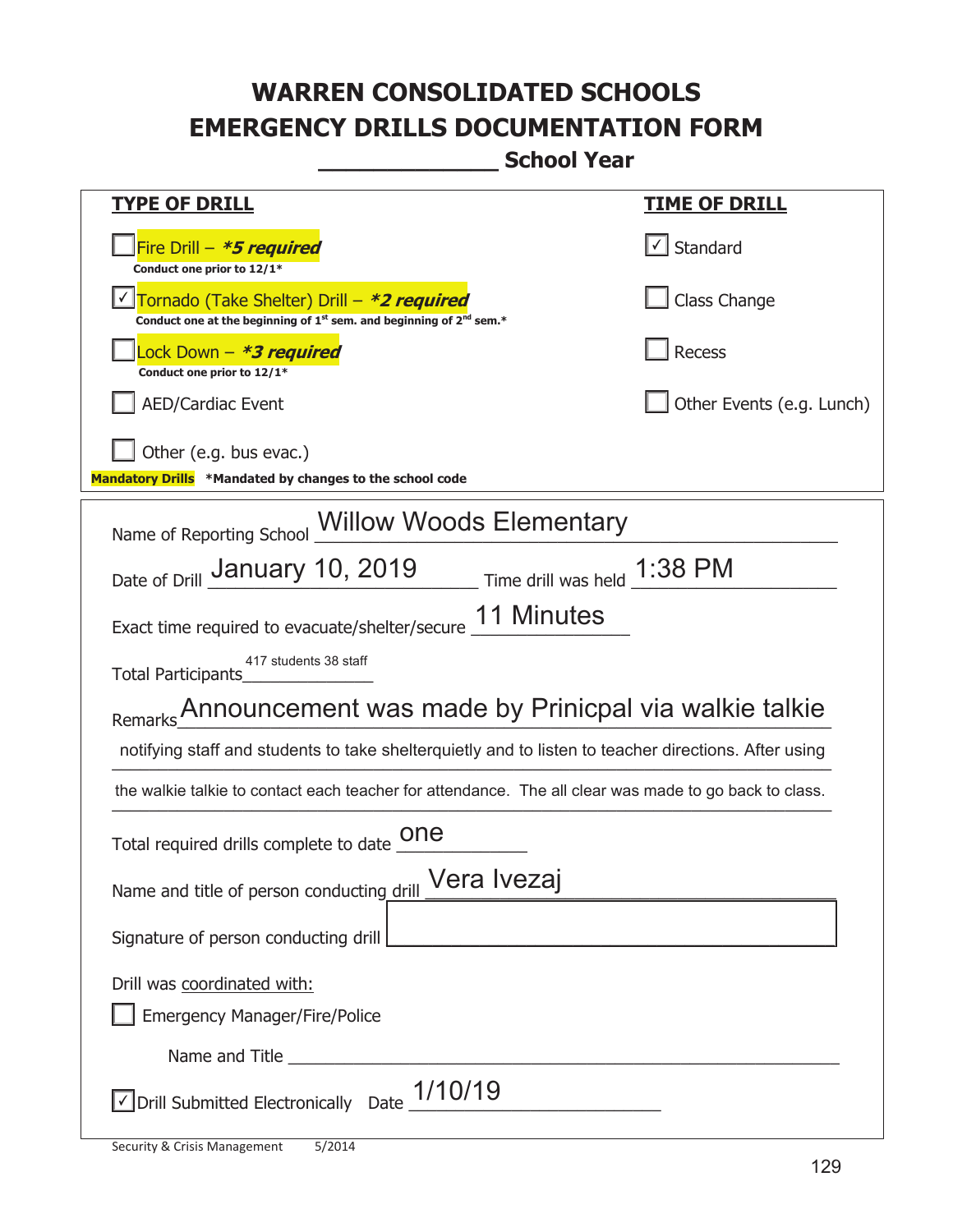**\_\_\_\_\_\_\_\_\_\_\_\_\_ School Year** 

| <b>TYPE OF DRILL</b>                                                                                                                      | <u>TIME OF DRILL</u>              |  |  |
|-------------------------------------------------------------------------------------------------------------------------------------------|-----------------------------------|--|--|
| Fire Drill - *5 required<br>Conduct one prior to 12/1*                                                                                    | $\lfloor \angle \rfloor$ Standard |  |  |
| Tornado (Take Shelter) Drill – *2 required<br>Conduct one at the beginning of 1 <sup>st</sup> sem. and beginning of 2 <sup>nd</sup> sem.* | Class Change                      |  |  |
| Lock Down – <b>*3 required</b><br>Conduct one prior to 12/1*                                                                              | <b>Recess</b>                     |  |  |
| <b>AED/Cardiac Event</b>                                                                                                                  | Other Events (e.g. Lunch)         |  |  |
| Other (e.g. bus evac.)<br>Mandatory Drills *Mandated by changes to the school code                                                        |                                   |  |  |
| <b>Willow Woods Elementary</b><br>Name of Reporting School                                                                                |                                   |  |  |
| Date of Drill January 10, 2019 Time drill was held 1:38 PM                                                                                |                                   |  |  |
| 11 Minutes<br>Exact time required to evacuate/shelter/secure                                                                              |                                   |  |  |
| 417 students 38 staff<br>Total Participants                                                                                               |                                   |  |  |
| Remarks Announcement was made by Prinicpal via walkie talkie                                                                              |                                   |  |  |
| notifying staff and students to take shelterquietly and to listen to teacher directions. After using                                      |                                   |  |  |
| the walkie talkie to contact each teacher for attendance. The all clear was made to go back to class.                                     |                                   |  |  |
| Total required drills complete to date _ONE                                                                                               |                                   |  |  |
| " Vera Ivezaj<br>Name and title of person conducting drill                                                                                |                                   |  |  |
| Signature of person conducting drill                                                                                                      |                                   |  |  |
| Drill was coordinated with:                                                                                                               |                                   |  |  |
| <b>Emergency Manager/Fire/Police</b>                                                                                                      |                                   |  |  |
|                                                                                                                                           |                                   |  |  |
| $\sqrt{\rm D}$ rill Submitted Electronically Date $\_1/10/19$                                                                             |                                   |  |  |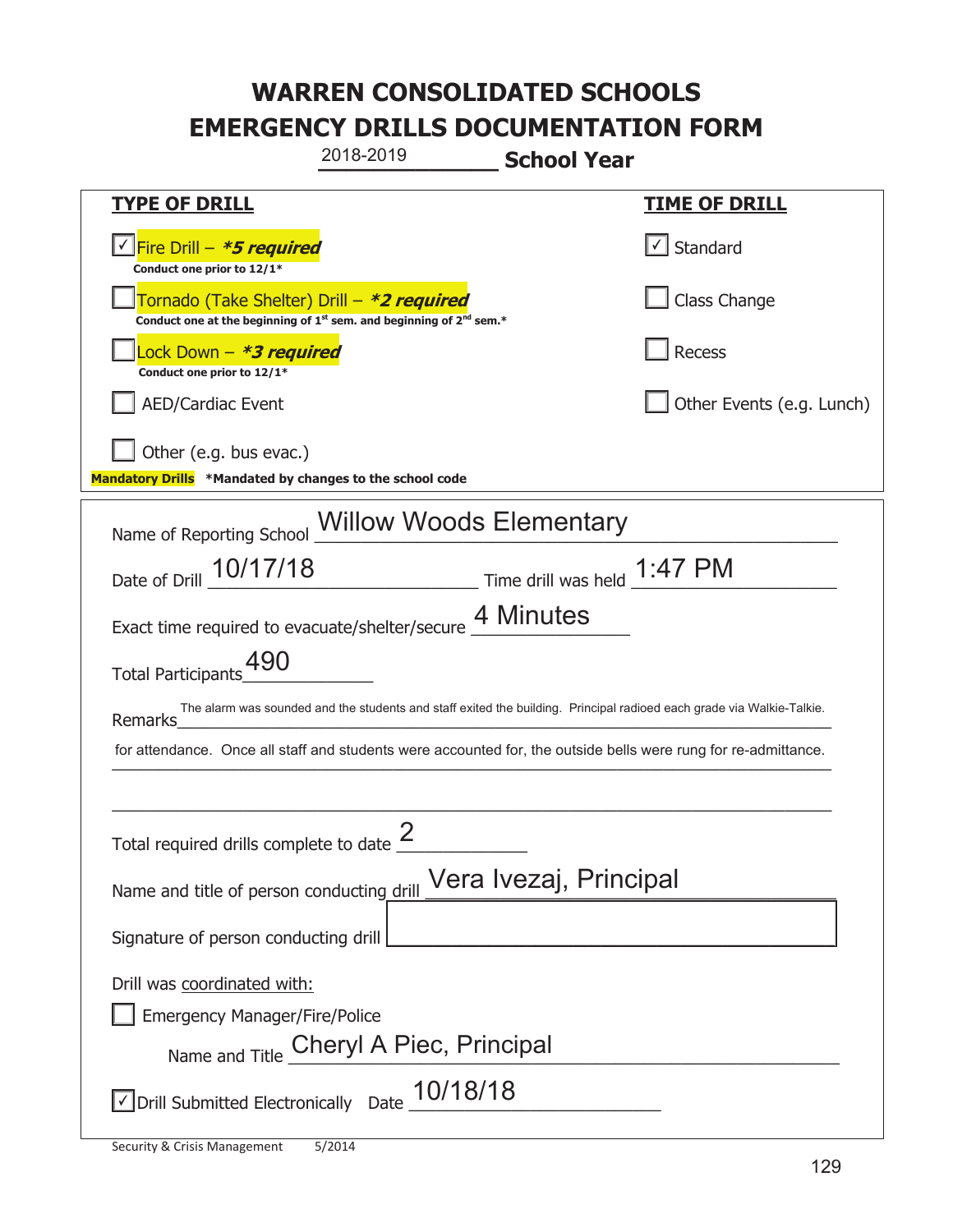|                                                                                                                | 2018-2019                                                                     | <b>School Year</b> |                                                                                                                       |
|----------------------------------------------------------------------------------------------------------------|-------------------------------------------------------------------------------|--------------------|-----------------------------------------------------------------------------------------------------------------------|
| <u>TYPE OF DRILL</u>                                                                                           |                                                                               |                    | <u>TIME OF DRILL</u>                                                                                                  |
| <u>√ Fire Drill – <i>*5 required</i></u><br>Conduct one prior to 12/1*                                         |                                                                               |                    | $\checkmark$ Standard                                                                                                 |
| Tornado (Take Shelter) Drill – *2 required                                                                     | Conduct one at the beginning of $1^{st}$ sem. and beginning of $2^{nd}$ sem.* |                    | Class Change                                                                                                          |
| ock Down – <b>*3 required</b><br>Conduct one prior to 12/1*                                                    |                                                                               |                    | Recess                                                                                                                |
| <b>AED/Cardiac Event</b>                                                                                       |                                                                               |                    | Other Events (e.g. Lunch)                                                                                             |
| Other (e.g. bus evac.)<br>Mandatory Drills *Mandated by changes to the school code                             |                                                                               |                    |                                                                                                                       |
| Name of Reporting School Willow Woods Elementary                                                               |                                                                               |                    |                                                                                                                       |
| Date of Drill 10/17/18 Time drill was held 1:47 PM                                                             |                                                                               |                    |                                                                                                                       |
| Exact time required to evacuate/shelter/secure 4 Minutes                                                       |                                                                               |                    |                                                                                                                       |
| <b>Total Participants</b>                                                                                      |                                                                               |                    |                                                                                                                       |
| <b>Remarks</b>                                                                                                 |                                                                               |                    | The alarm was sounded and the students and staff exited the building. Principal radioed each grade via Walkie-Talkie. |
| for attendance. Once all staff and students were accounted for, the outside bells were rung for re-admittance. |                                                                               |                    |                                                                                                                       |
|                                                                                                                |                                                                               |                    |                                                                                                                       |
| Total required drills complete to date $\frac{2}{3}$                                                           |                                                                               |                    |                                                                                                                       |
| Name and title of person conducting drill Vera Ivezaj, Principal                                               |                                                                               |                    |                                                                                                                       |
| Signature of person conducting drill                                                                           |                                                                               |                    |                                                                                                                       |
| Drill was coordinated with:                                                                                    |                                                                               |                    |                                                                                                                       |
| <b>Emergency Manager/Fire/Police</b>                                                                           |                                                                               |                    |                                                                                                                       |
|                                                                                                                | Name and Title Cheryl A Piec, Principal                                       |                    |                                                                                                                       |
| $\le$ Drill Submitted Electronically Date $\_10/18/18$                                                         |                                                                               |                    |                                                                                                                       |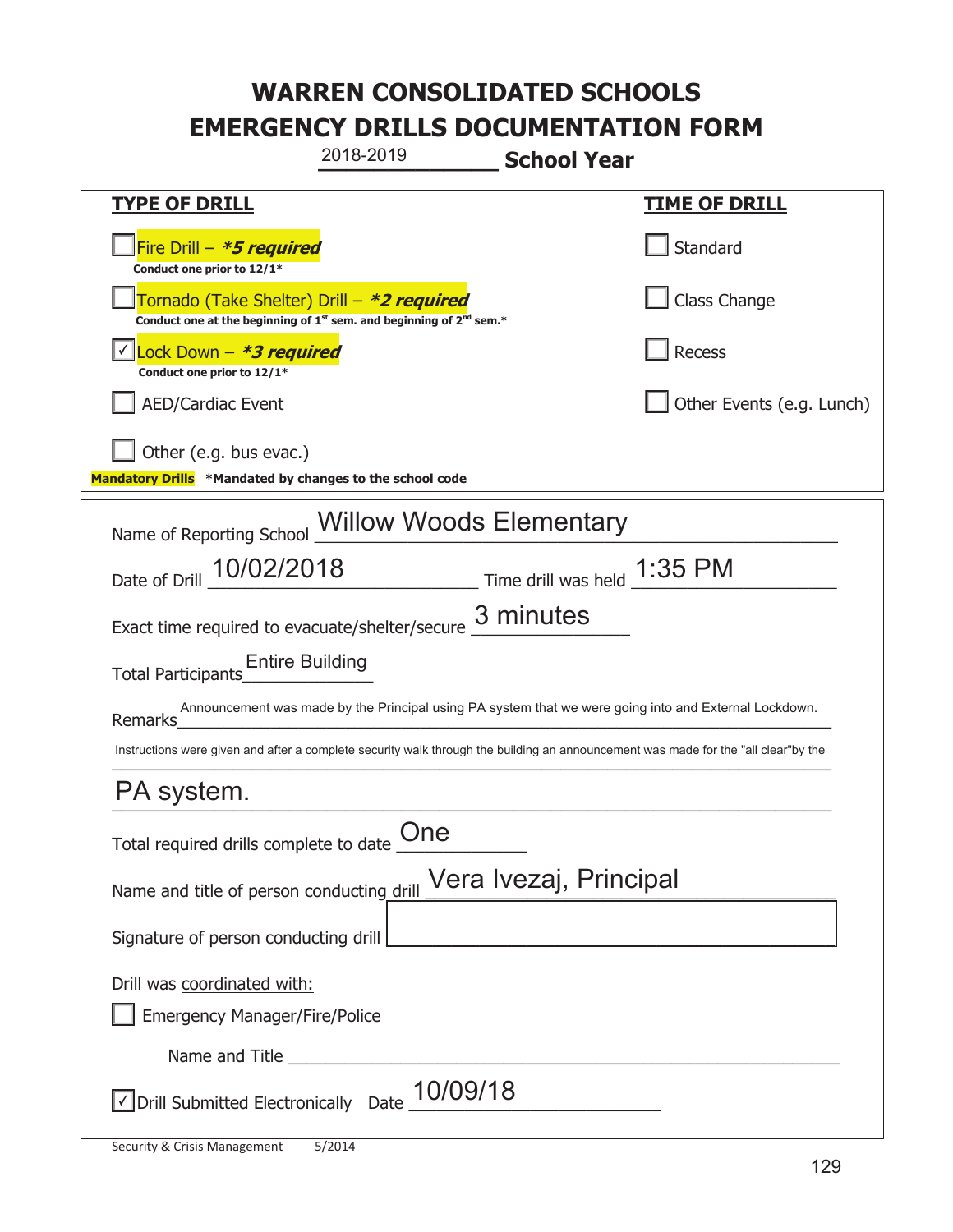| 2018-2019<br><b>School Year</b>                                                                                                    |                           |  |  |
|------------------------------------------------------------------------------------------------------------------------------------|---------------------------|--|--|
| <b>TYPE OF DRILL</b>                                                                                                               | <u>TIME OF DRILL</u>      |  |  |
| Fire Drill - *5 required<br>Conduct one prior to 12/1*                                                                             | Standard                  |  |  |
| Tornado (Take Shelter) Drill – *2 required<br>Conduct one at the beginning of $1^{st}$ sem. and beginning of $2^{nd}$ sem.*        | Class Change              |  |  |
| Lock Down - <b>*3 required</b><br>Conduct one prior to 12/1*                                                                       | Recess                    |  |  |
| <b>AED/Cardiac Event</b>                                                                                                           | Other Events (e.g. Lunch) |  |  |
| Other (e.g. bus evac.)<br>Mandatory Drills *Mandated by changes to the school code                                                 |                           |  |  |
| <b>Willow Woods Elementary</b><br>Name of Reporting School                                                                         |                           |  |  |
| Date of Drill 10/02/2018 Time drill was held 1:35 PM                                                                               |                           |  |  |
| Exact time required to evacuate/shelter/secure $\underline{3}$ minutes                                                             |                           |  |  |
| <b>Entire Building</b><br><b>Total Participants</b>                                                                                |                           |  |  |
| Announcement was made by the Principal using PA system that we were going into and External Lockdown.<br>Remarks                   |                           |  |  |
| Instructions were given and after a complete security walk through the building an announcement was made for the "all clear"by the |                           |  |  |
| PA system.                                                                                                                         |                           |  |  |
| Total required drills complete to date $\underset{--}{\text{One}}$                                                                 |                           |  |  |
| Vera Ivezaj, Principal<br>Name and title of person conducting drill                                                                |                           |  |  |
| Signature of person conducting drill                                                                                               |                           |  |  |
| Drill was coordinated with:<br><b>Emergency Manager/Fire/Police</b>                                                                |                           |  |  |
| Name and Title <b>Name and Title</b>                                                                                               |                           |  |  |
| $\sqrt{\phantom{a}}$ Drill Submitted Electronically Date $\underline{\phantom{a}}$ 10/09/18                                        |                           |  |  |

T